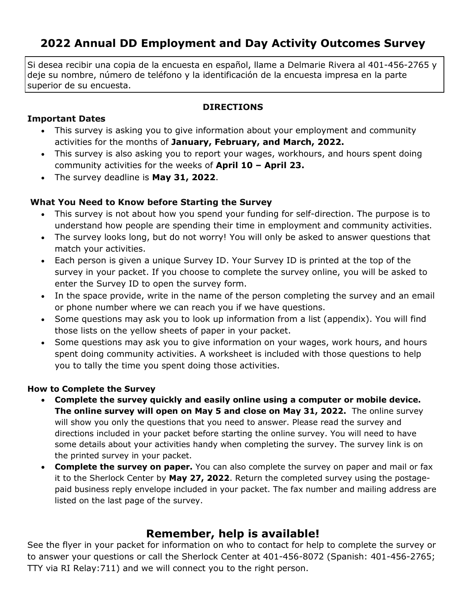# **2022 Annual DD Employment and Day Activity Outcomes Survey**

Si desea recibir una copia de la encuesta en español, llame a Delmarie Rivera al 401-456-2765 y deje su nombre, número de teléfono y la identificación de la encuesta impresa en la parte superior de su encuesta.

## **DIRECTIONS**

# **Important Dates**

- This survey is asking you to give information about your employment and community activities for the months of **January, February, and March, 2022.**
- This survey is also asking you to report your wages, workhours, and hours spent doing community activities for the weeks of **April 10 – April 23.**
- The survey deadline is **May 31, 2022**.

# **What You Need to Know before Starting the Survey**

- This survey is not about how you spend your funding for self-direction. The purpose is to understand how people are spending their time in employment and community activities.
- The survey looks long, but do not worry! You will only be asked to answer questions that match your activities.
- Each person is given a unique Survey ID. Your Survey ID is printed at the top of the survey in your packet. If you choose to complete the survey online, you will be asked to enter the Survey ID to open the survey form.
- In the space provide, write in the name of the person completing the survey and an email or phone number where we can reach you if we have questions.
- Some questions may ask you to look up information from a list (appendix). You will find those lists on the yellow sheets of paper in your packet.
- Some questions may ask you to give information on your wages, work hours, and hours spent doing community activities. A worksheet is included with those questions to help you to tally the time you spent doing those activities.

# **How to Complete the Survey**

- **Complete the survey quickly and easily online using a computer or mobile device. The online survey will open on May 5 and close on May 31, 2022.** The online survey will show you only the questions that you need to answer. Please read the survey and directions included in your packet before starting the online survey. You will need to have some details about your activities handy when completing the survey. The survey link is on the printed survey in your packet.
- **Complete the survey on paper.** You can also complete the survey on paper and mail or fax it to the Sherlock Center by **May 27, 2022**. Return the completed survey using the postagepaid business reply envelope included in your packet. The fax number and mailing address are listed on the last page of the survey.

# **Remember, help is available!**

See the flyer in your packet for information on who to contact for help to complete the survey or to answer your questions or call the Sherlock Center at 401-456-8072 (Spanish: 401-456-2765; TTY via RI Relay:711) and we will connect you to the right person.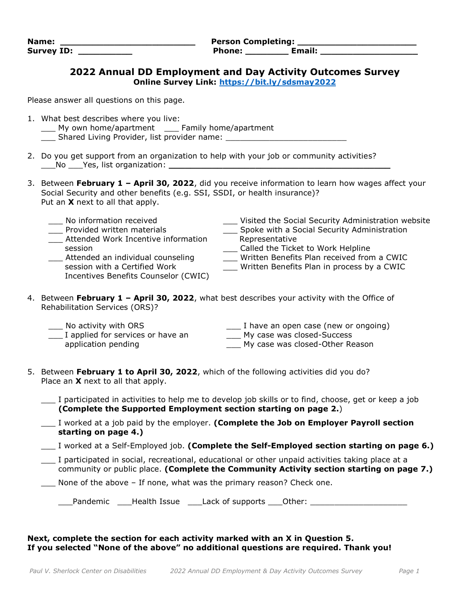| Name:             | <b>Person Completing:</b> |  |  |
|-------------------|---------------------------|--|--|
| <b>Survey ID:</b> | Email:<br>Phone:          |  |  |

### **2022 Annual DD Employment and Day Activity Outcomes Survey Online Survey Link:<https://bit.ly/sdsmay2022>**

Please answer all questions on this page.

- 1. What best describes where you live:
	- \_\_\_ My own home/apartment \_\_\_ Family home/apartment
	- \_\_\_ Shared Living Provider, list provider name: \_\_\_\_\_\_\_\_\_\_\_\_\_\_\_\_\_\_\_\_\_\_\_\_\_
- 2. Do you get support from an organization to help with your job or community activities? \_\_\_No \_\_\_Yes, list organization: **\_\_\_\_\_\_\_\_\_\_\_\_\_\_\_\_\_\_\_\_\_\_\_\_\_\_\_\_\_\_\_\_\_\_\_\_\_\_\_\_\_**
- 3. Between **February 1 – April 30, 2022**, did you receive information to learn how wages affect your Social Security and other benefits (e.g. SSI, SSDI, or health insurance)? Put an **X** next to all that apply.

| No information received<br>Provided written materials | Visited the Social Security Administration website<br>Spoke with a Social Security Administration |
|-------------------------------------------------------|---------------------------------------------------------------------------------------------------|
|                                                       |                                                                                                   |
| Attended Work Incentive information                   | Representative                                                                                    |
| session                                               | Called the Ticket to Work Helpline                                                                |
| Attended an individual counseling                     | Written Benefits Plan received from a CWIC                                                        |
| session with a Certified Work                         | Written Benefits Plan in process by a CWIC                                                        |
| Incentives Benefits Counselor (CWIC)                  |                                                                                                   |

4. Between **February 1 – April 30, 2022**, what best describes your activity with the Office of Rehabilitation Services (ORS)?

| No activity with ORS              | I have an open case (new or ongoing) |
|-----------------------------------|--------------------------------------|
| I applied for services or have an | My case was closed-Success           |
| application pending               | My case was closed-Other Reason      |

- 5. Between **February 1 to April 30, 2022**, which of the following activities did you do? Place an **X** next to all that apply.
	- I participated in activities to help me to develop job skills or to find, choose, get or keep a job **(Complete the Supported Employment section starting on page 2.**)
	- \_\_\_ I worked at a job paid by the employer. **(Complete the Job on Employer Payroll section starting on page 4.)**
	- \_\_\_ I worked at a Self-Employed job. **(Complete the Self-Employed section starting on page 6.)**
	- \_\_\_ I participated in social, recreational, educational or other unpaid activities taking place at a community or public place. **(Complete the Community Activity section starting on page 7.)**
	- None of the above If none, what was the primary reason? Check one.

\_\_\_Pandemic \_\_\_\_Health Issue \_\_\_\_Lack of supports \_\_\_Other: \_\_\_\_\_\_\_\_\_\_\_\_\_\_\_\_\_\_\_\_

### **Next, complete the section for each activity marked with an X in Question 5. If you selected "None of the above" no additional questions are required. Thank you!**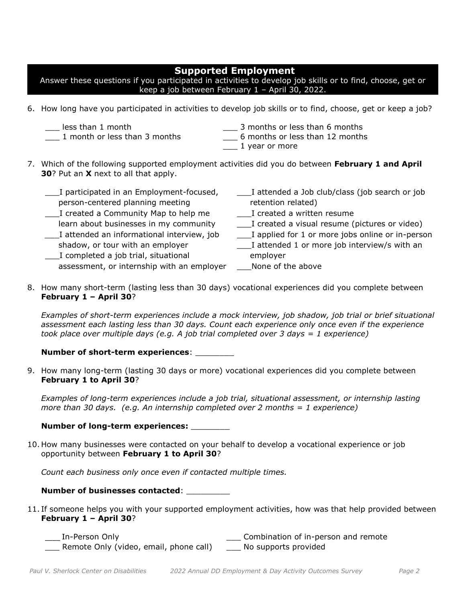# **Supported Employment**

Answer these questions if you participated in activities to develop job skills or to find, choose, get or keep a job between February 1 – April 30, 2022.

- 6. How long have you participated in activities to develop job skills or to find, choose, get or keep a job?
	- \_\_\_ less than 1 month
	- \_\_\_ 1 month or less than 3 months
- \_\_\_ 3 months or less than 6 months
- \_\_\_ 6 months or less than 12 months
- \_\_\_ 1 year or more
- 7. Which of the following supported employment activities did you do between **February 1 and April 30**? Put an **X** next to all that apply.

| ___I attended a Job club/class (job search or job   |
|-----------------------------------------------------|
| retention related)                                  |
| L Created a written resume                          |
| I created a visual resume (pictures or video)       |
| ___I applied for 1 or more jobs online or in-person |
| ___I attended 1 or more job interview/s with an     |
| employer                                            |
| None of the above                                   |
|                                                     |

8. How many short-term (lasting less than 30 days) vocational experiences did you complete between **February 1 – April 30**?

*Examples of short-term experiences include a mock interview, job shadow, job trial or brief situational assessment each lasting less than 30 days. Count each experience only once even if the experience took place over multiple days (e.g. A job trial completed over 3 days = 1 experience)*

### **Number of short-term experiences**: \_\_\_\_\_\_\_\_

9. How many long-term (lasting 30 days or more) vocational experiences did you complete between **February 1 to April 30**?

*Examples of long-term experiences include a job trial, situational assessment, or internship lasting more than 30 days. (e.g. An internship completed over 2 months = 1 experience)*

## **Number of long-term experiences:** \_\_\_\_\_\_\_\_

10. How many businesses were contacted on your behalf to develop a vocational experience or job opportunity between **February 1 to April 30**?

*Count each business only once even if contacted multiple times.*

## **Number of businesses contacted**: \_\_\_\_\_\_\_\_\_

- 11. If someone helps you with your supported employment activities, how was that help provided between **February 1 – April 30**?
	- \_\_\_\_ In-Person Only \_\_\_ Combination of in-person and remote \_\_\_ Remote Only (video, email, phone call) \_\_\_ No supports provided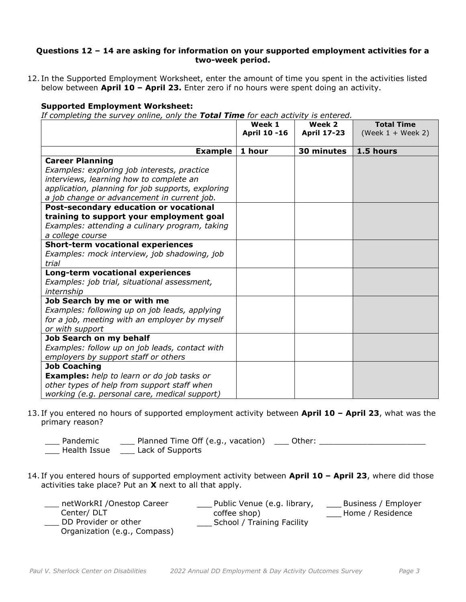### **Questions 12 – 14 are asking for information on your supported employment activities for a two-week period.**

12. In the Supported Employment Worksheet, enter the amount of time you spent in the activities listed below between **April 10 – April 23.** Enter zero if no hours were spent doing an activity.

### **Supported Employment Worksheet:**

*If completing the survey online, only the Total Time for each activity is entered.* 

|                                                   | Week 1       | Week 2             | <b>Total Time</b>   |
|---------------------------------------------------|--------------|--------------------|---------------------|
|                                                   | April 10 -16 | <b>April 17-23</b> | (Week $1 +$ Week 2) |
|                                                   |              |                    |                     |
| <b>Example</b>                                    | 1 hour       | 30 minutes         | 1.5 hours           |
| <b>Career Planning</b>                            |              |                    |                     |
| Examples: exploring job interests, practice       |              |                    |                     |
| interviews, learning how to complete an           |              |                    |                     |
| application, planning for job supports, exploring |              |                    |                     |
| a job change or advancement in current job.       |              |                    |                     |
| Post-secondary education or vocational            |              |                    |                     |
| training to support your employment goal          |              |                    |                     |
| Examples: attending a culinary program, taking    |              |                    |                     |
| a college course                                  |              |                    |                     |
| <b>Short-term vocational experiences</b>          |              |                    |                     |
| Examples: mock interview, job shadowing, job      |              |                    |                     |
| trial                                             |              |                    |                     |
| Long-term vocational experiences                  |              |                    |                     |
| Examples: job trial, situational assessment,      |              |                    |                     |
| internship                                        |              |                    |                     |
| Job Search by me or with me                       |              |                    |                     |
| Examples: following up on job leads, applying     |              |                    |                     |
| for a job, meeting with an employer by myself     |              |                    |                     |
| or with support                                   |              |                    |                     |
| Job Search on my behalf                           |              |                    |                     |
| Examples: follow up on job leads, contact with    |              |                    |                     |
| employers by support staff or others              |              |                    |                     |
| <b>Job Coaching</b>                               |              |                    |                     |
| <b>Examples:</b> help to learn or do job tasks or |              |                    |                     |
| other types of help from support staff when       |              |                    |                     |
| working (e.g. personal care, medical support)     |              |                    |                     |

- 13. If you entered no hours of supported employment activity between **April 10 – April 23**, what was the primary reason?
	- \_\_\_ Pandemic \_\_\_ Health Issue \_\_\_ Planned Time Off (e.g., vacation) \_\_\_ Lack of Supports \_\_\_ Other: \_\_\_\_\_\_\_\_\_\_\_\_\_\_\_\_\_\_\_\_\_\_
- 14. If you entered hours of supported employment activity between **April 10 – April 23**, where did those activities take place? Put an **X** next to all that apply.

| netWorkRI / Onestop Career   | Public Venue (e.g. library, | Business / Employer |
|------------------------------|-----------------------------|---------------------|
| Center/DLT                   | coffee shop)                | Home / Residence    |
| DD Provider or other         | School / Training Facility  |                     |
| Organization (e.g., Compass) |                             |                     |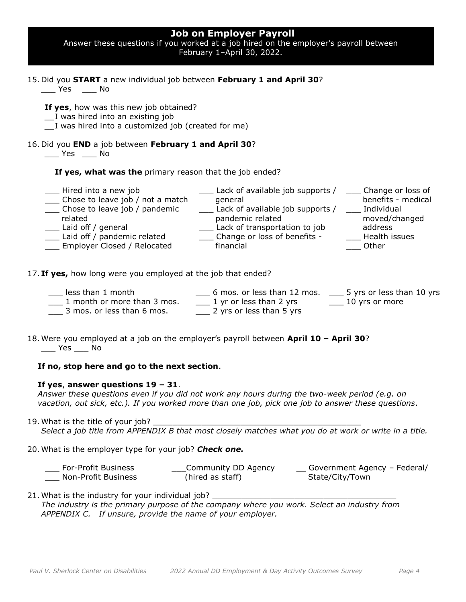| <b>Job on Employer Payroll</b><br>Answer these questions if you worked at a job hired on the employer's payroll between<br>February 1-April 30, 2022.<br>الاتالات ووال |                                                                                                                                                                                                    |                                                                        |  |  |
|------------------------------------------------------------------------------------------------------------------------------------------------------------------------|----------------------------------------------------------------------------------------------------------------------------------------------------------------------------------------------------|------------------------------------------------------------------------|--|--|
| 15. Did you START a new individual job between February 1 and April 30?<br>Yes No                                                                                      |                                                                                                                                                                                                    |                                                                        |  |  |
| If yes, how was this new job obtained?<br>__I was hired into an existing job<br>I was hired into a customized job (created for me)                                     |                                                                                                                                                                                                    |                                                                        |  |  |
| 16. Did you END a job between February 1 and April 30?<br>No Yes No                                                                                                    |                                                                                                                                                                                                    |                                                                        |  |  |
| If yes, what was the primary reason that the job ended?                                                                                                                |                                                                                                                                                                                                    |                                                                        |  |  |
| Hired into a new job<br>Chose to leave job / not a match<br>Chose to leave job / pandemic<br>related<br>Laid off / general<br>__ Employer Closed / Relocated           | Lack of available job supports / _____ Change or loss of<br>general<br>Lack of available job supports / ___ Individual<br>pandemic related<br>financial                                            | benefits - medical<br>moved/changed<br>$\equiv$ Health issues<br>Other |  |  |
| 17. If yes, how long were you employed at the job that ended?                                                                                                          |                                                                                                                                                                                                    |                                                                        |  |  |
| less than 1 month<br>3 mos. or less than 6 mos.                                                                                                                        | 6 mos. or less than 12 mos. __ 5 yrs or less than 10 yrs<br>$\frac{1}{2}$ month or more than 3 mos. $\frac{1}{2}$ 1 yr or less than 2 yrs $\frac{1}{2}$ 10 yrs or more<br>2 yrs or less than 5 yrs |                                                                        |  |  |

18. Were you employed at a job on the employer's payroll between **April 10 – April 30**?  $\rule{1em}{0.15mm}$  Yes  $\rule{1em}{0.15mm}$  No

#### **If no, stop here and go to the next section**.

#### **If yes**, **answer questions 19 – 31**.

*Answer these questions even if you did not work any hours during the two-week period (e.g. on vacation, out sick, etc.). If you worked more than one job, pick one job to answer these questions*.

- 19. What is the title of your job? *Select a job title from APPENDIX B that most closely matches what you do at work or write in a title.*
- 20. What is the employer type for your job? *Check one.*

| For-Profit Business | Community DD Agency | Government Agency - Federal/ |
|---------------------|---------------------|------------------------------|
| Non-Profit Business | (hired as staff)    | State/City/Town              |

21. What is the industry for your individual job? \_ *The industry is the primary purpose of the company where you work. Select an industry from APPENDIX C. If unsure, provide the name of your employer.*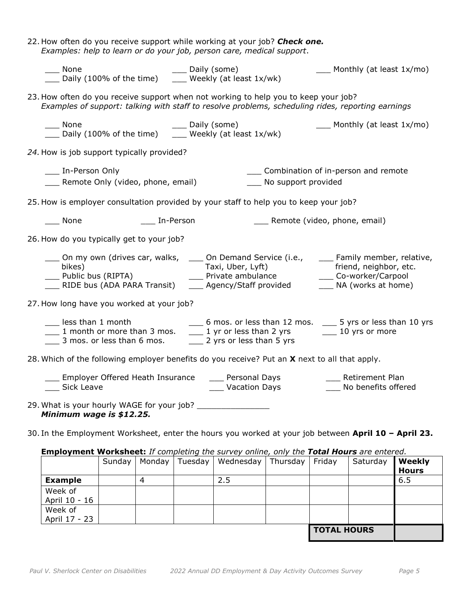| 22. How often do you receive support while working at your job? <b>Check one.</b><br>Examples: help to learn or do your job, person care, medical support.                                                                                                        |
|-------------------------------------------------------------------------------------------------------------------------------------------------------------------------------------------------------------------------------------------------------------------|
| None<br>___ Monthly (at least 1x/mo)<br>____ None $\qquad$ ____ Daily (some)<br>___ Daily (100% of the time) $\qquad$ ___ Weekly (at least 1x/wk)                                                                                                                 |
| 23. How often do you receive support when not working to help you to keep your job?<br>Examples of support: talking with staff to resolve problems, scheduling rides, reporting earnings                                                                          |
| ____ None $\qquad$ ____ Daily (some)<br>____ Daily (100% of the time) $\qquad$ ____ Weekly (at least 1x/wk)<br>$\frac{1}{1}$ Monthly (at least 1x/mo)                                                                                                             |
| 24. How is job support typically provided?                                                                                                                                                                                                                        |
| ___ In-Person Only<br>____ Combination of in-person and remote<br>___ Remote Only (video, phone, email)<br>___ No support provided                                                                                                                                |
| 25. How is employer consultation provided by your staff to help you to keep your job?                                                                                                                                                                             |
| $\rule{1em}{0.15mm}$ None<br>____ In-Person<br>___ Remote (video, phone, email)                                                                                                                                                                                   |
| 26. How do you typically get to your job?                                                                                                                                                                                                                         |
| __ On my own (drives car, walks, ____ On Demand Service (i.e., ____ Family member, relative,<br>friend, neighbor, etc.<br>friend, neighbor, etc_<br>Co-worker/Carpool<br>___ NA (works at home)                                                                   |
| 27. How long have you worked at your job?                                                                                                                                                                                                                         |
| ___ 6 mos. or less than 12 mos. ___ 5 yrs or less than 10 yrs<br>less than 1 month<br>10 yrs or less than 2 yrs 10 yrs or more<br>$\frac{1}{2}$ 1 month or more than 3 mos.<br>$\frac{1}{2}$ 3 mos. or less than 6 mos.<br>$\frac{1}{2}$ 2 yrs or less than 5 yrs |
| 28. Which of the following employer benefits do you receive? Put an X next to all that apply.                                                                                                                                                                     |
| Employer Offered Heath Insurance (Supersonal Days Tamps Retirement Plan<br>No benefits offered<br>Vacation Days<br>Sick Leave                                                                                                                                     |
| Minimum wage is \$12.25.                                                                                                                                                                                                                                          |
| 30. In the Employment Worksheet, enter the hours you worked at your job between April 10 - April 23.                                                                                                                                                              |

## **Employment Worksheet:** *If completing the survey online, only the Total Hours are entered.*

|                          | Sunday | Monday | Tuesday | Wednesday | Thursday | Friday             | Saturday | Weekly<br><b>Hours</b> |
|--------------------------|--------|--------|---------|-----------|----------|--------------------|----------|------------------------|
| <b>Example</b>           |        |        |         | 2.5       |          |                    |          | 6.5                    |
| Week of<br>April 10 - 16 |        |        |         |           |          |                    |          |                        |
| Week of<br>April 17 - 23 |        |        |         |           |          |                    |          |                        |
|                          |        |        |         |           |          | <b>TOTAL HOURS</b> |          |                        |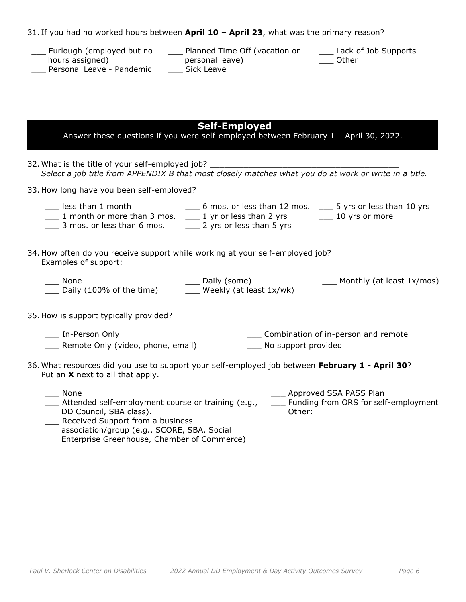|  |  |  | 31. If you had no worked hours between April 10 - April 23, what was the primary reason? |
|--|--|--|------------------------------------------------------------------------------------------|
|  |  |  |                                                                                          |

| Furlough (employed but no | Planned Time Off (vacation or | Lack of Job Supports |
|---------------------------|-------------------------------|----------------------|
| hours assigned)           | personal leave)               | Other                |
| Personal Leave - Pandemic | Sick Leave                    |                      |

| <b>Self-Employed</b><br>Answer these questions if you were self-employed between February 1 - April 30, 2022.                                                                                                                                                                                                                                                                                                                         |
|---------------------------------------------------------------------------------------------------------------------------------------------------------------------------------------------------------------------------------------------------------------------------------------------------------------------------------------------------------------------------------------------------------------------------------------|
|                                                                                                                                                                                                                                                                                                                                                                                                                                       |
| 33. How long have you been self-employed?                                                                                                                                                                                                                                                                                                                                                                                             |
| ___ 6 mos. or less than 12 mos. ___ 5 yrs or less than 10 yrs<br>Less than 1 month 1. G mos. or less than 12 mos. 1. The set than 12 mos. 1 month or more than 3 mos. 2. 1 yr or less than 2 yrs 10 yrs or more<br>1 3 mos. or less than 6 mos. 11 2 yrs or less than 5 yrs                                                                                                                                                           |
| 34. How often do you receive support while working at your self-employed job?<br>Examples of support:                                                                                                                                                                                                                                                                                                                                 |
| ___ Daily (some)<br>___ Weekly (at least 1x/wk)<br>$\frac{1}{2}$ Monthly (at least 1x/mos)<br>None<br>___ None<br>___ Daily (100% of the time)                                                                                                                                                                                                                                                                                        |
| 35. How is support typically provided?                                                                                                                                                                                                                                                                                                                                                                                                |
| ___ In-Person Only<br>___ Combination of in-person and remote<br>Remote Only (video, phone, email)<br>___ No support provided                                                                                                                                                                                                                                                                                                         |
| 36. What resources did you use to support your self-employed job between February 1 - April 30?<br>Put an X next to all that apply.                                                                                                                                                                                                                                                                                                   |
| ___ Approved SSA PASS Plan<br>None<br>Attended self-employment course or training (e.g.,<br>___ Funding from ORS for self-employment<br>DD Council, SBA class).<br>Other: the contract of the contract of the contract of the contract of the contract of the contract of the contract of the contract of the contract of the contract of the contract of the contract of the contract of the con<br>Received Support from a business |

association/group (e.g., SCORE, SBA, Social Enterprise Greenhouse, Chamber of Commerce)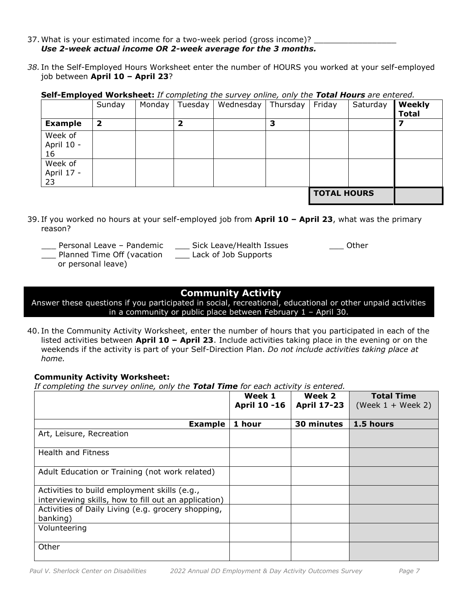- 37. What is your estimated income for a two-week period (gross income)? *Use 2-week actual income OR 2-week average for the 3 months.*
- *38.* In the Self-Employed Hours Worksheet enter the number of HOURS you worked at your self-employed job between **April 10 – April 23**?

**Self-Employed Worksheet:** *If completing the survey online, only the Total Hours are entered.*

|                | Sunday | Monday | Tuesday | Wednesday | Thursday | Friday             | Saturday | Weekly       |
|----------------|--------|--------|---------|-----------|----------|--------------------|----------|--------------|
|                |        |        |         |           |          |                    |          | <b>Total</b> |
| <b>Example</b> | 2      |        |         |           | כ        |                    |          |              |
| Week of        |        |        |         |           |          |                    |          |              |
| April 10 -     |        |        |         |           |          |                    |          |              |
| 16             |        |        |         |           |          |                    |          |              |
| Week of        |        |        |         |           |          |                    |          |              |
| April 17 -     |        |        |         |           |          |                    |          |              |
| 23             |        |        |         |           |          |                    |          |              |
|                |        |        |         |           |          | <b>TOTAL HOURS</b> |          |              |

- 39. If you worked no hours at your self-employed job from **April 10 – April 23**, what was the primary reason?
	- Personal Leave Pandemic
	- \_\_\_ Planned Time Off (vacation \_\_\_ Lack of Job Supports
		- or personal leave)

\_\_\_ Sick Leave/Health Issues

\_\_\_ Other

# **Community Activity**

Answer these questions if you participated in social, recreational, educational or other unpaid activities in a community or public place between February 1 – April 30.

40. In the Community Activity Worksheet, enter the number of hours that you participated in each of the listed activities between **April 10 – April 23**. Include activities taking place in the evening or on the weekends if the activity is part of your Self-Direction Plan. *Do not include activities taking place at home.* 

## **Community Activity Worksheet:**

*If completing the survey online, only the Total Time for each activity is entered.*

|                                                                                                      | Week 1<br><b>April 10 -16</b> | Week 2<br><b>April 17-23</b> | <b>Total Time</b><br>(Week $1 +$ Week 2) |
|------------------------------------------------------------------------------------------------------|-------------------------------|------------------------------|------------------------------------------|
|                                                                                                      |                               |                              |                                          |
| <b>Example</b>                                                                                       | 1 hour                        | 30 minutes                   | 1.5 hours                                |
| Art, Leisure, Recreation                                                                             |                               |                              |                                          |
| <b>Health and Fitness</b>                                                                            |                               |                              |                                          |
| Adult Education or Training (not work related)                                                       |                               |                              |                                          |
| Activities to build employment skills (e.g.,<br>interviewing skills, how to fill out an application) |                               |                              |                                          |
| Activities of Daily Living (e.g. grocery shopping,<br>banking)                                       |                               |                              |                                          |
| Volunteering                                                                                         |                               |                              |                                          |
| Other                                                                                                |                               |                              |                                          |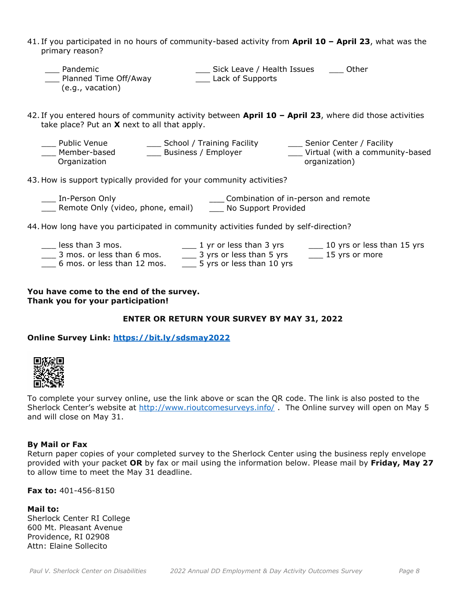- 41. If you participated in no hours of community-based activity from **April 10 – April 23**, what was the primary reason?
	- \_\_\_ Pandemic \_\_\_ Planned Time Off/Away (e.g., vacation) \_\_\_ Sick Leave / Health Issues \_\_\_ Other **Lack of Supports**
- 42. If you entered hours of community activity between **April 10 – April 23**, where did those activities take place? Put an **X** next to all that apply.
	- Public Venue Member-based Organization \_\_\_ School / Training Facility \_\_\_ Business / Employer Senior Center / Facility \_\_\_ Virtual (with a community-based organization)
- 43. How is support typically provided for your community activities?
	- \_\_\_ In-Person Only \_\_\_ Remote Only (video, phone, email) \_\_\_ No Support Provided \_\_\_\_ Combination of in-person and remote
- 44. How long have you participated in community activities funded by self-direction?

| less than 3 mos.            | 1 yr or less than 3 yrs   | 10 yrs or less than 15 yrs |
|-----------------------------|---------------------------|----------------------------|
| 3 mos. or less than 6 mos.  | 3 yrs or less than 5 yrs  | $15$ yrs or more           |
| 6 mos. or less than 12 mos. | 5 yrs or less than 10 yrs |                            |

**You have come to the end of the survey. Thank you for your participation!**

## **ENTER OR RETURN YOUR SURVEY BY MAY 31, 2022**

### **Online Survey Link:<https://bit.ly/sdsmay2022>**



To complete your survey online, use the link above or scan the QR code. The link is also posted to the Sherlock Center's website at <http://www.rioutcomesurveys.info/> The Online survey will open on May 5 and will close on May 31.

#### **By Mail or Fax**

Return paper copies of your completed survey to the Sherlock Center using the business reply envelope provided with your packet **OR** by fax or mail using the information below. Please mail by **Friday, May 27** to allow time to meet the May 31 deadline.

**Fax to:** 401-456-8150

**Mail to:** Sherlock Center RI College 600 Mt. Pleasant Avenue Providence, RI 02908 Attn: Elaine Sollecito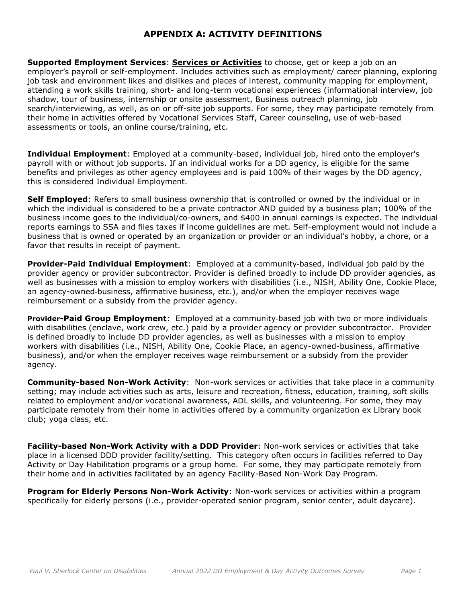# **APPENDIX A: ACTIVITY DEFINITIONS**

**Supported Employment Services**: **Services or Activities** to choose, get or keep a job on an employer's payroll or self-employment. Includes activities such as employment/ career planning, exploring job task and environment likes and dislikes and places of interest, community mapping for employment, attending a work skills training, short- and long-term vocational experiences (informational interview, job shadow, tour of business, internship or onsite assessment, Business outreach planning, job search/interviewing, as well, as on or off-site job supports. For some, they may participate remotely from their home in activities offered by Vocational Services Staff, Career counseling, use of web-based assessments or tools, an online course/training, etc.

**Individual Employment**: Employed at a community-based, individual job, hired onto the employer's payroll with or without job supports. If an individual works for a DD agency, is eligible for the same benefits and privileges as other agency employees and is paid 100% of their wages by the DD agency, this is considered Individual Employment.

**Self Employed**: Refers to small business ownership that is controlled or owned by the individual or in which the individual is considered to be a private contractor AND guided by a business plan; 100% of the business income goes to the individual/co-owners, and \$400 in annual earnings is expected. The individual reports earnings to SSA and files taxes if income guidelines are met. Self-employment would not include a business that is owned or operated by an organization or provider or an individual's hobby, a chore, or a favor that results in receipt of payment.

**Provider-Paid Individual Employment**: Employed at a community‐based, individual job paid by the provider agency or provider subcontractor. Provider is defined broadly to include DD provider agencies, as well as businesses with a mission to employ workers with disabilities (i.e., NISH, Ability One, Cookie Place, an agency-owned‐business, affirmative business, etc.), and/or when the employer receives wage reimbursement or a subsidy from the provider agency.

**Provider-Paid Group Employment**: Employed at a community‐based job with two or more individuals with disabilities (enclave, work crew, etc.) paid by a provider agency or provider subcontractor. Provider is defined broadly to include DD provider agencies, as well as businesses with a mission to employ workers with disabilities (i.e., NISH, Ability One, Cookie Place, an agency-owned-business, affirmative business), and/or when the employer receives wage reimbursement or a subsidy from the provider agency.

**Community-based Non-Work Activity**: Non-work services or activities that take place in a community setting; may include activities such as arts, leisure and recreation, fitness, education, training, soft skills related to employment and/or vocational awareness, ADL skills, and volunteering. For some, they may participate remotely from their home in activities offered by a community organization ex Library book club; yoga class, etc.

**Facility-based Non-Work Activity with a DDD Provider**: Non-work services or activities that take place in a licensed DDD provider facility/setting. This category often occurs in facilities referred to Day Activity or Day Habilitation programs or a group home. For some, they may participate remotely from their home and in activities facilitated by an agency Facility-Based Non-Work Day Program.

**Program for Elderly Persons Non-Work Activity**: Non-work services or activities within a program specifically for elderly persons (i.e., provider-operated senior program, senior center, adult daycare).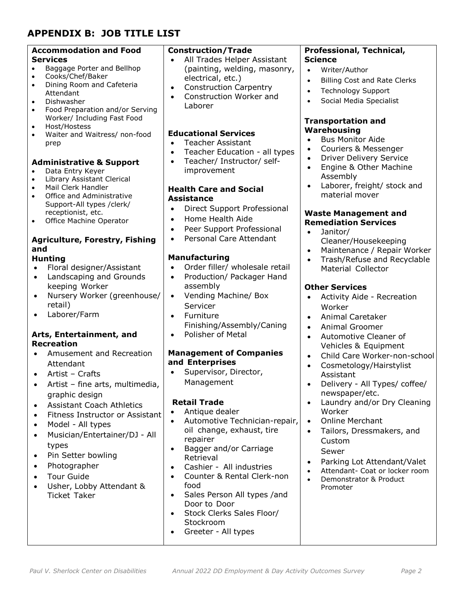# **APPENDIX B: JOB TITLE LIST**

| <b>Accommodation and Food</b>                           | <b>Construction/Trade</b>                              | Professional, Technical,                                              |
|---------------------------------------------------------|--------------------------------------------------------|-----------------------------------------------------------------------|
| <b>Services</b>                                         | All Trades Helper Assistant                            | <b>Science</b>                                                        |
| Baggage Porter and Bellhop<br>$\bullet$                 | (painting, welding, masonry,                           | $\bullet$<br>Writer/Author                                            |
| Cooks/Chef/Baker<br>$\bullet$                           | electrical, etc.)                                      | <b>Billing Cost and Rate Clerks</b>                                   |
| Dining Room and Cafeteria<br>$\bullet$                  | <b>Construction Carpentry</b><br>$\bullet$             | <b>Technology Support</b><br>$\bullet$                                |
| Attendant<br>Dishwasher<br>$\bullet$                    | Construction Worker and<br>$\bullet$                   | Social Media Specialist                                               |
| Food Preparation and/or Serving<br>$\bullet$            | Laborer                                                |                                                                       |
| Worker/ Including Fast Food                             |                                                        | <b>Transportation and</b>                                             |
| Host/Hostess<br>$\bullet$                               |                                                        | Warehousing                                                           |
| Waiter and Waitress/ non-food<br>$\bullet$              | <b>Educational Services</b>                            | <b>Bus Monitor Aide</b>                                               |
| prep                                                    | <b>Teacher Assistant</b><br>$\bullet$                  | Couriers & Messenger<br>$\bullet$                                     |
|                                                         | Teacher Education - all types<br>$\bullet$             | <b>Driver Delivery Service</b><br>$\bullet$                           |
| <b>Administrative &amp; Support</b><br>Data Entry Keyer | Teacher/ Instructor/ self-<br>$\bullet$<br>improvement | Engine & Other Machine<br>$\bullet$                                   |
| $\bullet$<br>Library Assistant Clerical<br>$\bullet$    |                                                        | Assembly                                                              |
| Mail Clerk Handler<br>$\bullet$                         | <b>Health Care and Social</b>                          | Laborer, freight/ stock and<br>$\bullet$                              |
| Office and Administrative<br>$\bullet$                  | <b>Assistance</b>                                      | material mover                                                        |
| Support-All types / clerk/                              | Direct Support Professional<br>$\bullet$               |                                                                       |
| receptionist, etc.                                      | Home Health Aide<br>$\bullet$                          | <b>Waste Management and</b>                                           |
| Office Machine Operator<br>$\bullet$                    | Peer Support Professional<br>$\bullet$                 | <b>Remediation Services</b>                                           |
|                                                         | Personal Care Attendant<br>$\bullet$                   | Janitor/<br>$\bullet$                                                 |
| <b>Agriculture, Forestry, Fishing</b><br>and            |                                                        | Cleaner/Housekeeping                                                  |
| <b>Hunting</b>                                          | <b>Manufacturing</b>                                   | Maintenance / Repair Worker<br>$\bullet$                              |
| Floral designer/Assistant<br>$\bullet$                  | Order filler/ wholesale retail                         | Trash/Refuse and Recyclable<br>$\bullet$<br><b>Material Collector</b> |
| Landscaping and Grounds<br>$\bullet$                    | Production/ Packager Hand<br>$\bullet$                 |                                                                       |
| keeping Worker                                          | assembly                                               | <b>Other Services</b>                                                 |
| Nursery Worker (greenhouse/<br>$\bullet$                | Vending Machine/ Box<br>$\bullet$                      | Activity Aide - Recreation<br>$\bullet$                               |
| retail)                                                 | Servicer                                               | Worker                                                                |
| Laborer/Farm<br>$\bullet$                               | Furniture<br>$\bullet$                                 | <b>Animal Caretaker</b><br>$\bullet$                                  |
|                                                         | Finishing/Assembly/Caning                              | <b>Animal Groomer</b><br>$\bullet$                                    |
| Arts, Entertainment, and                                | <b>Polisher of Metal</b><br>$\bullet$                  | Automotive Cleaner of<br>$\bullet$                                    |
| <b>Recreation</b>                                       |                                                        | Vehicles & Equipment                                                  |
| Amusement and Recreation                                | <b>Management of Companies</b>                         | Child Care Worker-non-school<br>$\bullet$                             |
| Attendant                                               | and Enterprises                                        | Cosmetology/Hairstylist<br>$\bullet$                                  |
| Artist - Crafts<br>$\bullet$                            | Supervisor, Director,<br>$\bullet$                     | Assistant                                                             |
| Artist - fine arts, multimedia,<br>$\bullet$            | Management                                             | Delivery - All Types/ coffee/                                         |
| graphic design                                          |                                                        | newspaper/etc.                                                        |
| <b>Assistant Coach Athletics</b><br>$\bullet$           | <b>Retail Trade</b>                                    | Laundry and/or Dry Cleaning<br>$\bullet$                              |
| Fitness Instructor or Assistant<br>$\bullet$            | Antique dealer<br>$\bullet$                            | Worker                                                                |
| Model - All types<br>$\bullet$                          | Automotive Technician-repair,<br>$\bullet$             | <b>Online Merchant</b><br>$\bullet$                                   |
| Musician/Entertainer/DJ - All<br>$\bullet$              | oil change, exhaust, tire                              | Tailors, Dressmakers, and<br>$\bullet$                                |
| types                                                   | repairer                                               | Custom                                                                |
| Pin Setter bowling<br>$\bullet$                         | Bagger and/or Carriage<br>$\bullet$<br>Retrieval       | Sewer                                                                 |
| Photographer<br>$\bullet$                               | Cashier - All industries                               | Parking Lot Attendant/Valet<br>$\bullet$                              |
| <b>Tour Guide</b><br>$\bullet$                          | $\bullet$<br>Counter & Rental Clerk-non<br>$\bullet$   | Attendant- Coat or locker room<br>$\bullet$                           |
| Usher, Lobby Attendant &                                | food                                                   | Demonstrator & Product<br>$\bullet$                                   |
| <b>Ticket Taker</b>                                     | Sales Person All types /and<br>$\bullet$               | Promoter                                                              |
|                                                         | Door to Door                                           |                                                                       |
|                                                         | Stock Clerks Sales Floor/<br>$\bullet$                 |                                                                       |
|                                                         | Stockroom                                              |                                                                       |
|                                                         | Greeter - All types<br>$\bullet$                       |                                                                       |
|                                                         |                                                        |                                                                       |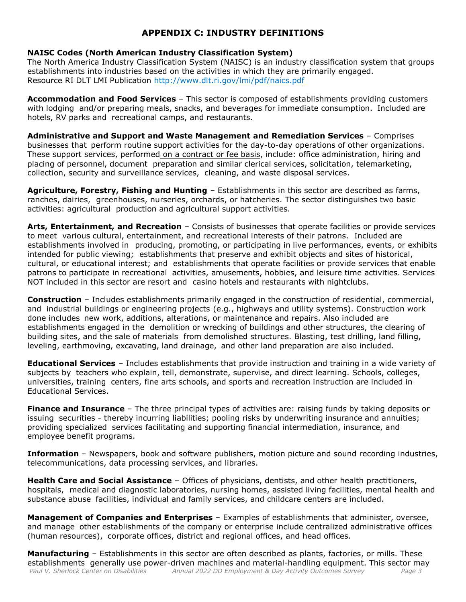# **APPENDIX C: INDUSTRY DEFINITIONS**

### **NAISC Codes (North American Industry Classification System)**

The North America Industry Classification System (NAISC) is an industry classification system that groups establishments into industries based on the activities in which they are primarily engaged. Resource RI DLT LMI Publication <http://www.dlt.ri.gov/lmi/pdf/naics.pdf>

**Accommodation and Food Services** – This sector is composed of establishments providing customers with lodging and/or preparing meals, snacks, and beverages for immediate consumption. Included are hotels, RV parks and recreational camps, and restaurants.

**Administrative and Support and Waste Management and Remediation Services** – Comprises businesses that perform routine support activities for the day-to-day operations of other organizations. These support services, performed on a contract or fee basis, include: office administration, hiring and placing of personnel, document preparation and similar clerical services, solicitation, telemarketing, collection, security and surveillance services, cleaning, and waste disposal services.

**Agriculture, Forestry, Fishing and Hunting** – Establishments in this sector are described as farms, ranches, dairies, greenhouses, nurseries, orchards, or hatcheries. The sector distinguishes two basic activities: agricultural production and agricultural support activities.

**Arts, Entertainment, and Recreation** – Consists of businesses that operate facilities or provide services to meet various cultural, entertainment, and recreational interests of their patrons. Included are establishments involved in producing, promoting, or participating in live performances, events, or exhibits intended for public viewing; establishments that preserve and exhibit objects and sites of historical, cultural, or educational interest; and establishments that operate facilities or provide services that enable patrons to participate in recreational activities, amusements, hobbies, and leisure time activities. Services NOT included in this sector are resort and casino hotels and restaurants with nightclubs.

**Construction** – Includes establishments primarily engaged in the construction of residential, commercial, and industrial buildings or engineering projects (e.g., highways and utility systems). Construction work done includes new work, additions, alterations, or maintenance and repairs. Also included are establishments engaged in the demolition or wrecking of buildings and other structures, the clearing of building sites, and the sale of materials from demolished structures. Blasting, test drilling, land filling, leveling, earthmoving, excavating, land drainage, and other land preparation are also included.

**Educational Services** – Includes establishments that provide instruction and training in a wide variety of subjects by teachers who explain, tell, demonstrate, supervise, and direct learning. Schools, colleges, universities, training centers, fine arts schools, and sports and recreation instruction are included in Educational Services.

**Finance and Insurance** – The three principal types of activities are: raising funds by taking deposits or issuing securities - thereby incurring liabilities; pooling risks by underwriting insurance and annuities; providing specialized services facilitating and supporting financial intermediation, insurance, and employee benefit programs.

**Information** – Newspapers, book and software publishers, motion picture and sound recording industries, telecommunications, data processing services, and libraries.

**Health Care and Social Assistance** – Offices of physicians, dentists, and other health practitioners, hospitals, medical and diagnostic laboratories, nursing homes, assisted living facilities, mental health and substance abuse facilities, individual and family services, and childcare centers are included.

**Management of Companies and Enterprises** – Examples of establishments that administer, oversee, and manage other establishments of the company or enterprise include centralized administrative offices (human resources), corporate offices, district and regional offices, and head offices.

*Paul V. Sherlock Center on Disabilities Annual 2022 DD Employment & Day Activity Outcomes Survey Page 3*  **Manufacturing** – Establishments in this sector are often described as plants, factories, or mills. These establishments generally use power-driven machines and material-handling equipment. This sector may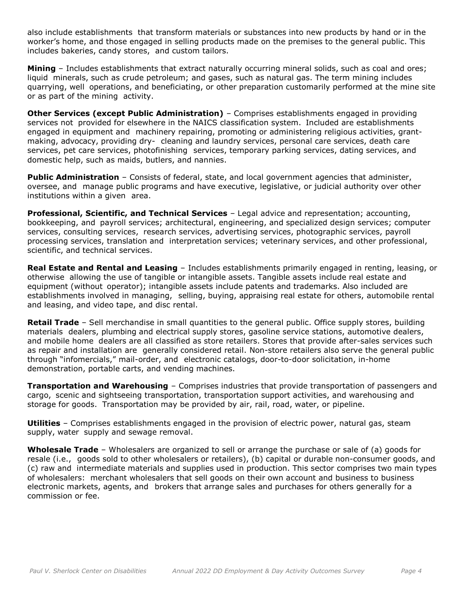also include establishments that transform materials or substances into new products by hand or in the worker's home, and those engaged in selling products made on the premises to the general public. This includes bakeries, candy stores, and custom tailors.

**Mining** – Includes establishments that extract naturally occurring mineral solids, such as coal and ores; liquid minerals, such as crude petroleum; and gases, such as natural gas. The term mining includes quarrying, well operations, and beneficiating, or other preparation customarily performed at the mine site or as part of the mining activity.

**Other Services (except Public Administration)** – Comprises establishments engaged in providing services not provided for elsewhere in the NAICS classification system. Included are establishments engaged in equipment and machinery repairing, promoting or administering religious activities, grantmaking, advocacy, providing dry- cleaning and laundry services, personal care services, death care services, pet care services, photofinishing services, temporary parking services, dating services, and domestic help, such as maids, butlers, and nannies.

**Public Administration** – Consists of federal, state, and local government agencies that administer, oversee, and manage public programs and have executive, legislative, or judicial authority over other institutions within a given area.

**Professional, Scientific, and Technical Services** – Legal advice and representation; accounting, bookkeeping, and payroll services; architectural, engineering, and specialized design services; computer services, consulting services, research services, advertising services, photographic services, payroll processing services, translation and interpretation services; veterinary services, and other professional, scientific, and technical services.

**Real Estate and Rental and Leasing** – Includes establishments primarily engaged in renting, leasing, or otherwise allowing the use of tangible or intangible assets. Tangible assets include real estate and equipment (without operator); intangible assets include patents and trademarks. Also included are establishments involved in managing, selling, buying, appraising real estate for others, automobile rental and leasing, and video tape, and disc rental.

**Retail Trade** – Sell merchandise in small quantities to the general public. Office supply stores, building materials dealers, plumbing and electrical supply stores, gasoline service stations, automotive dealers, and mobile home dealers are all classified as store retailers. Stores that provide after-sales services such as repair and installation are generally considered retail. Non-store retailers also serve the general public through "infomercials," mail-order, and electronic catalogs, door-to-door solicitation, in-home demonstration, portable carts, and vending machines.

**Transportation and Warehousing** – Comprises industries that provide transportation of passengers and cargo, scenic and sightseeing transportation, transportation support activities, and warehousing and storage for goods. Transportation may be provided by air, rail, road, water, or pipeline.

**Utilities** – Comprises establishments engaged in the provision of electric power, natural gas, steam supply, water supply and sewage removal.

**Wholesale Trade** – Wholesalers are organized to sell or arrange the purchase or sale of (a) goods for resale (i.e., goods sold to other wholesalers or retailers), (b) capital or durable non-consumer goods, and (c) raw and intermediate materials and supplies used in production. This sector comprises two main types of wholesalers: merchant wholesalers that sell goods on their own account and business to business electronic markets, agents, and brokers that arrange sales and purchases for others generally for a commission or fee.